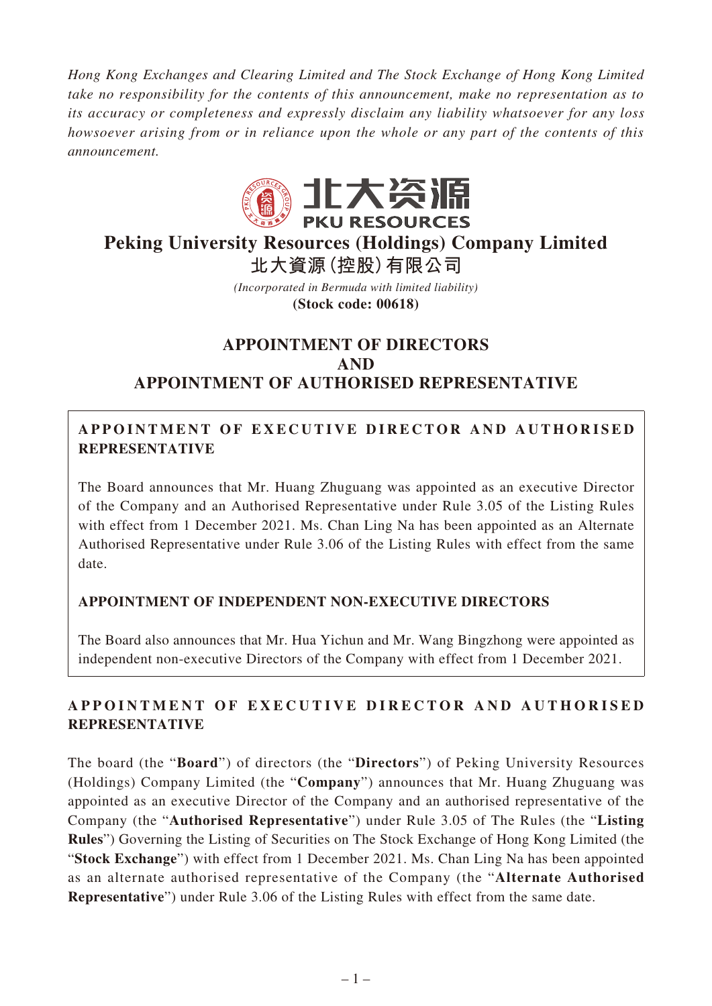*Hong Kong Exchanges and Clearing Limited and The Stock Exchange of Hong Kong Limited take no responsibility for the contents of this announcement, make no representation as to its accuracy or completeness and expressly disclaim any liability whatsoever for any loss howsoever arising from or in reliance upon the whole or any part of the contents of this announcement.*



# **Peking University Resources (Holdings) Company Limited**

**北大資源(控股)有限公司**

*(Incorporated in Bermuda with limited liability)* **(Stock code: 00618)**

## **APPOINTMENT OF DIRECTORS AND APPOINTMENT OF AUTHORISED REPRESENTATIVE**

## A PPOINTMENT OF EXECUTIVE DIRECTOR AND AUTHORISED **REPRESENTATIVE**

The Board announces that Mr. Huang Zhuguang was appointed as an executive Director of the Company and an Authorised Representative under Rule 3.05 of the Listing Rules with effect from 1 December 2021. Ms. Chan Ling Na has been appointed as an Alternate Authorised Representative under Rule 3.06 of the Listing Rules with effect from the same date.

## **APPOINTMENT OF INDEPENDENT NON-EXECUTIVE DIRECTORS**

The Board also announces that Mr. Hua Yichun and Mr. Wang Bingzhong were appointed as independent non-executive Directors of the Company with effect from 1 December 2021.

## A PPOINTMENT OF EXECUTIVE DIRECTOR AND AUTHORISED **REPRESENTATIVE**

The board (the "**Board**") of directors (the "**Directors**") of Peking University Resources (Holdings) Company Limited (the "**Company**") announces that Mr. Huang Zhuguang was appointed as an executive Director of the Company and an authorised representative of the Company (the "**Authorised Representative**") under Rule 3.05 of The Rules (the "**Listing Rules**") Governing the Listing of Securities on The Stock Exchange of Hong Kong Limited (the "**Stock Exchange**") with effect from 1 December 2021. Ms. Chan Ling Na has been appointed as an alternate authorised representative of the Company (the "**Alternate Authorised Representative**") under Rule 3.06 of the Listing Rules with effect from the same date.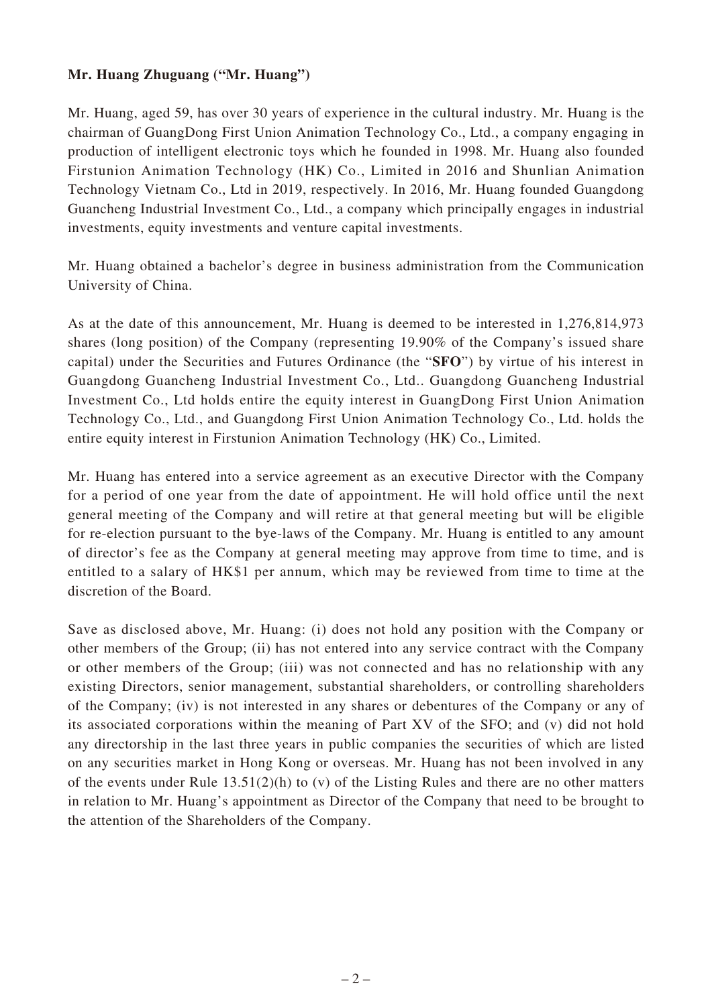#### **Mr. Huang Zhuguang ("Mr. Huang")**

Mr. Huang, aged 59, has over 30 years of experience in the cultural industry. Mr. Huang is the chairman of GuangDong First Union Animation Technology Co., Ltd., a company engaging in production of intelligent electronic toys which he founded in 1998. Mr. Huang also founded Firstunion Animation Technology (HK) Co., Limited in 2016 and Shunlian Animation Technology Vietnam Co., Ltd in 2019, respectively. In 2016, Mr. Huang founded Guangdong Guancheng Industrial Investment Co., Ltd., a company which principally engages in industrial investments, equity investments and venture capital investments.

Mr. Huang obtained a bachelor's degree in business administration from the Communication University of China.

As at the date of this announcement, Mr. Huang is deemed to be interested in 1,276,814,973 shares (long position) of the Company (representing 19.90% of the Company's issued share capital) under the Securities and Futures Ordinance (the "**SFO**") by virtue of his interest in Guangdong Guancheng Industrial Investment Co., Ltd.. Guangdong Guancheng Industrial Investment Co., Ltd holds entire the equity interest in GuangDong First Union Animation Technology Co., Ltd., and Guangdong First Union Animation Technology Co., Ltd. holds the entire equity interest in Firstunion Animation Technology (HK) Co., Limited.

Mr. Huang has entered into a service agreement as an executive Director with the Company for a period of one year from the date of appointment. He will hold office until the next general meeting of the Company and will retire at that general meeting but will be eligible for re-election pursuant to the bye-laws of the Company. Mr. Huang is entitled to any amount of director's fee as the Company at general meeting may approve from time to time, and is entitled to a salary of HK\$1 per annum, which may be reviewed from time to time at the discretion of the Board.

Save as disclosed above, Mr. Huang: (i) does not hold any position with the Company or other members of the Group; (ii) has not entered into any service contract with the Company or other members of the Group; (iii) was not connected and has no relationship with any existing Directors, senior management, substantial shareholders, or controlling shareholders of the Company; (iv) is not interested in any shares or debentures of the Company or any of its associated corporations within the meaning of Part XV of the SFO; and (v) did not hold any directorship in the last three years in public companies the securities of which are listed on any securities market in Hong Kong or overseas. Mr. Huang has not been involved in any of the events under Rule 13.51(2)(h) to (v) of the Listing Rules and there are no other matters in relation to Mr. Huang's appointment as Director of the Company that need to be brought to the attention of the Shareholders of the Company.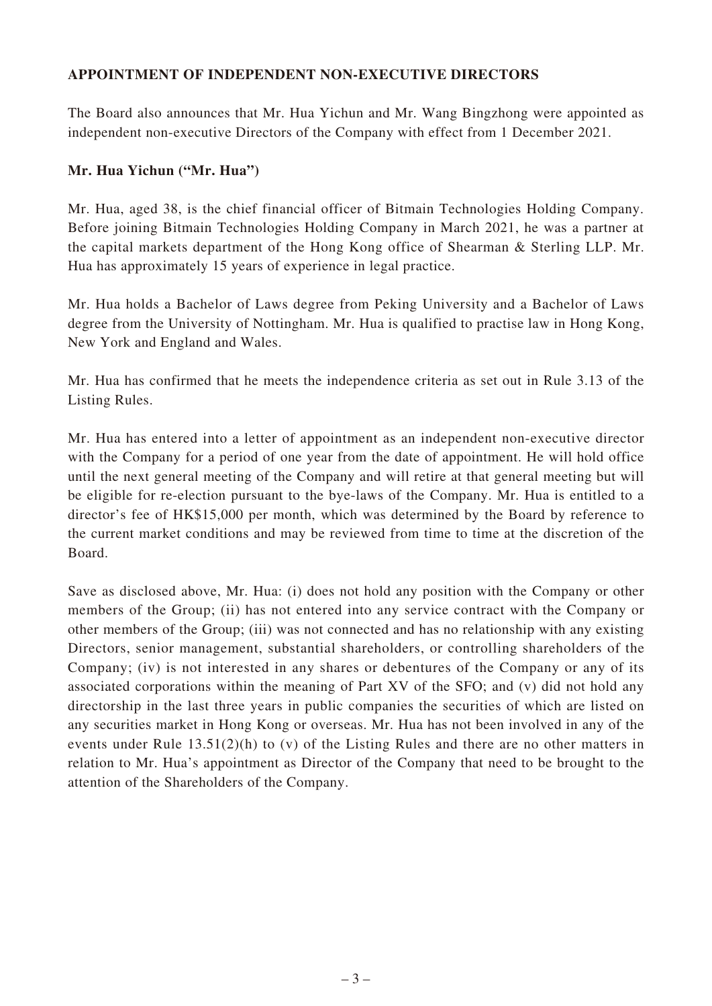#### **APPOINTMENT OF INDEPENDENT NON-EXECUTIVE DIRECTORS**

The Board also announces that Mr. Hua Yichun and Mr. Wang Bingzhong were appointed as independent non-executive Directors of the Company with effect from 1 December 2021.

#### **Mr. Hua Yichun ("Mr. Hua")**

Mr. Hua, aged 38, is the chief financial officer of Bitmain Technologies Holding Company. Before joining Bitmain Technologies Holding Company in March 2021, he was a partner at the capital markets department of the Hong Kong office of Shearman & Sterling LLP. Mr. Hua has approximately 15 years of experience in legal practice.

Mr. Hua holds a Bachelor of Laws degree from Peking University and a Bachelor of Laws degree from the University of Nottingham. Mr. Hua is qualified to practise law in Hong Kong, New York and England and Wales.

Mr. Hua has confirmed that he meets the independence criteria as set out in Rule 3.13 of the Listing Rules.

Mr. Hua has entered into a letter of appointment as an independent non-executive director with the Company for a period of one year from the date of appointment. He will hold office until the next general meeting of the Company and will retire at that general meeting but will be eligible for re-election pursuant to the bye-laws of the Company. Mr. Hua is entitled to a director's fee of HK\$15,000 per month, which was determined by the Board by reference to the current market conditions and may be reviewed from time to time at the discretion of the Board.

Save as disclosed above, Mr. Hua: (i) does not hold any position with the Company or other members of the Group; (ii) has not entered into any service contract with the Company or other members of the Group; (iii) was not connected and has no relationship with any existing Directors, senior management, substantial shareholders, or controlling shareholders of the Company; (iv) is not interested in any shares or debentures of the Company or any of its associated corporations within the meaning of Part XV of the SFO; and (v) did not hold any directorship in the last three years in public companies the securities of which are listed on any securities market in Hong Kong or overseas. Mr. Hua has not been involved in any of the events under Rule  $13.51(2)$ (h) to (v) of the Listing Rules and there are no other matters in relation to Mr. Hua's appointment as Director of the Company that need to be brought to the attention of the Shareholders of the Company.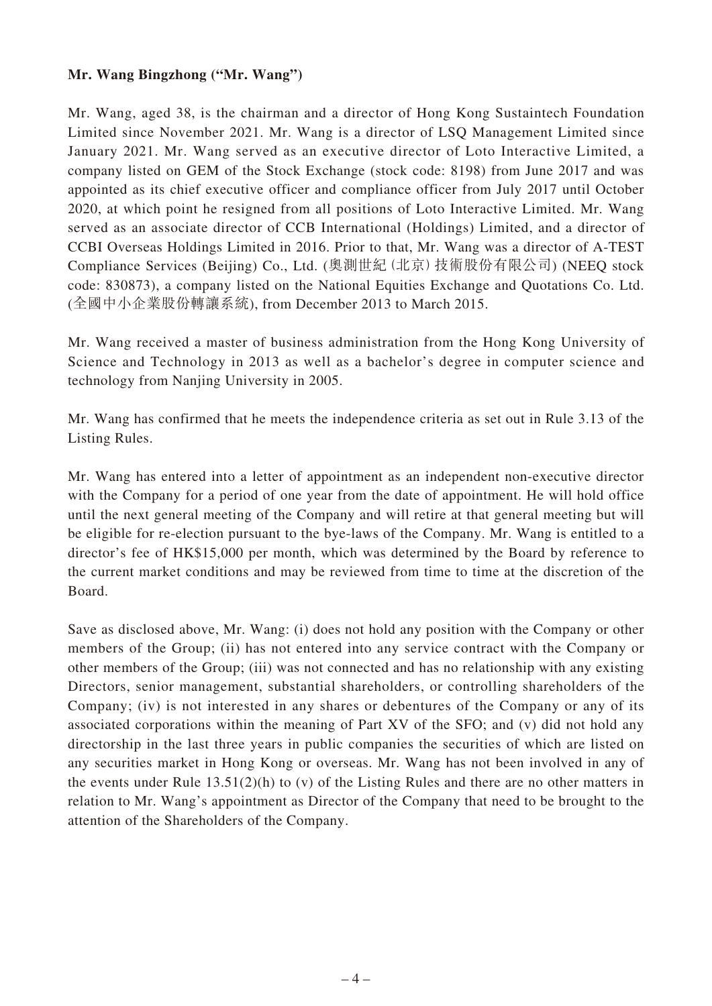#### **Mr. Wang Bingzhong ("Mr. Wang")**

Mr. Wang, aged 38, is the chairman and a director of Hong Kong Sustaintech Foundation Limited since November 2021. Mr. Wang is a director of LSQ Management Limited since January 2021. Mr. Wang served as an executive director of Loto Interactive Limited, a company listed on GEM of the Stock Exchange (stock code: 8198) from June 2017 and was appointed as its chief executive officer and compliance officer from July 2017 until October 2020, at which point he resigned from all positions of Loto Interactive Limited. Mr. Wang served as an associate director of CCB International (Holdings) Limited, and a director of CCBI Overseas Holdings Limited in 2016. Prior to that, Mr. Wang was a director of A-TEST Compliance Services (Beijing) Co., Ltd. (奧測世紀(北京)技術股份有限公司) (NEEQ stock code: 830873), a company listed on the National Equities Exchange and Quotations Co. Ltd. (全國中小企業股份轉讓系統), from December 2013 to March 2015.

Mr. Wang received a master of business administration from the Hong Kong University of Science and Technology in 2013 as well as a bachelor's degree in computer science and technology from Nanjing University in 2005.

Mr. Wang has confirmed that he meets the independence criteria as set out in Rule 3.13 of the Listing Rules.

Mr. Wang has entered into a letter of appointment as an independent non-executive director with the Company for a period of one year from the date of appointment. He will hold office until the next general meeting of the Company and will retire at that general meeting but will be eligible for re-election pursuant to the bye-laws of the Company. Mr. Wang is entitled to a director's fee of HK\$15,000 per month, which was determined by the Board by reference to the current market conditions and may be reviewed from time to time at the discretion of the Board.

Save as disclosed above, Mr. Wang: (i) does not hold any position with the Company or other members of the Group; (ii) has not entered into any service contract with the Company or other members of the Group; (iii) was not connected and has no relationship with any existing Directors, senior management, substantial shareholders, or controlling shareholders of the Company; (iv) is not interested in any shares or debentures of the Company or any of its associated corporations within the meaning of Part XV of the SFO; and (v) did not hold any directorship in the last three years in public companies the securities of which are listed on any securities market in Hong Kong or overseas. Mr. Wang has not been involved in any of the events under Rule 13.51(2)(h) to (v) of the Listing Rules and there are no other matters in relation to Mr. Wang's appointment as Director of the Company that need to be brought to the attention of the Shareholders of the Company.